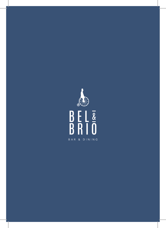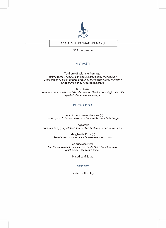

# BAR & DINING SHARING MENU

\$85 per person

# ANTIPASTI

Tagliere di salumi e fromaggi salame felino / nodini / San Daniele prosciutto / mortadella / *Grana Padano / black pepper pecorino / marinated olives / fruit jam / white truffle honey I sourdough bread* 

Bruschetta *toasted homemade bread I diced tomatoes I basil I extra virgin olive oil I aged Modena balsamic vinegar* 

# PASTA & PIZZA

Gnocchi four cheeses fondue (v) *potato gnocchi I four cheeses fondue I truffle paste I fried sage*

**Tagliatelle** *homemade egg tagliatelle I slow cooked lamb ragu I pecorino cheese* 

> Margherita Pizza (v) *San Marzano tomato sauce I mozzarella I fresh basil*

Capricciosa Pizza *San Marzano tomato sauce I mozzarella I ham I mushrooms I black olives I cacciatore salami* 

Mixed Leaf Salad

# DESSERT

Sorbet of the Day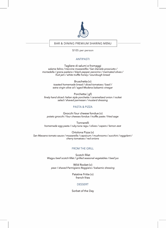

# BAR & DINING PREMIUM SHARING MENU

\$105 per person

## ANTIPASTI

Tagliere di salumi e fromaggi salame felino / treccine mozzarellla / San Daniele prosciutto / *mortadella I grana padano I black pepper pecorino I marinated olives I fruit jam I white truffle honey I sourdough bread* 

> Bruschetta (v) *toasted homemade bread I diced tomatoes I basil I extra virgin olive oil I aged Modena balsamic vinegar*

Porchetta ( gf) finely hand sliced /talian style porchetta / caramelized onion / rocket *salad I shaved parmesan I mustard dressing* 

## PASTA & PIZZA

Gnocchi four cheese fondue (v) *potato gnocchi I four cheeses fondue I truffle paste I fried sage* 

**Tonnarelli** *homemade* egg *pasta I ruby tuna ragu I olives I capers I lemon zest* 

Ortolona Pizza (v) *San Marzano tomato sauce I mozzarella I capsicum I mushrooms I zucchini I eggplant I cherry tomatoes I red onions* 

## FROM THE GRILL

Scotch fillet Wagyu beef scotch fillet / grilled seasonal vegetables / beef jus

Wild Rocket (v) *pear I shaved Parmigiana Reggiano I balsamic dressing* 

> Patatine Fritte (v) french fries

#### DESSERT

Sorbet of the Day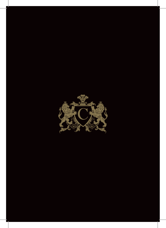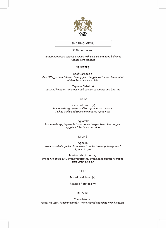

# SHARING MENU

# \$120 per person

*homemade bread selection served with olive oil and aged balsamic vinegar from Modena* 

## STARTERS

Beef Carpaccio *sliced Wagyu beef I shaved Parmiggiano Reggiano I toasted hazelnuts I wild rocket I dark chocolate* 

Caprese Salad (v) *burrata I heirloom tomatoes I puff pastry I cucumber and basil jus* 

## PASTA

Gnocchetti sardi (v) *homemade egg pasta I saffron I porcini mushrooms I white truffle and stracchino mousse I pine nuts* 

**Tagliatelle** *homemade egg tagliatelle I slow cooked wagyu beef cheek ragu I eggplant I Sardinian pecorino* 

#### MAINS

Agnello *slow cooked Margra Lamb shoulder I smoked sweet potato puree I fig vincotto jus* 

Market fish of the day *grilled fish of the day I green vegetables I green peas mousse /coratina extra virgin olive oil* 

#### SIDES

Mixed Leaf Salad (v)

Roasted Potatoes (v)

#### DESSERT

Chocolate tart *rocher mousse I hazelnut crumbs I white shaved chocolate I vanilla gelato*